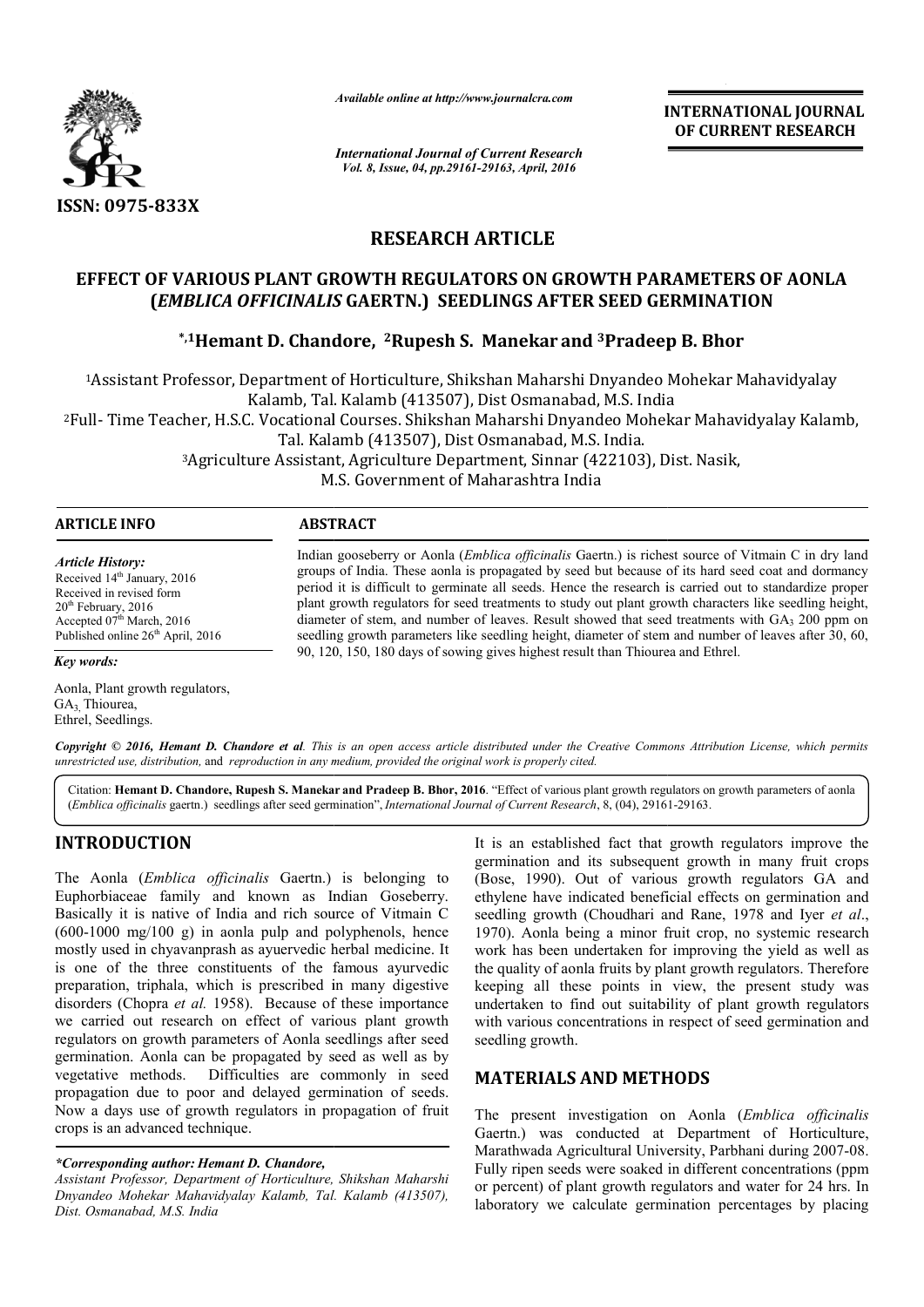

*Available online at http://www.journalcra.com*

**INTERNATIONAL JOURNAL OF CURRENT RESEARCH** 

*International Journal of Current Research Vol. 8, Issue, 04, pp.29161-29163, April, 2016*

# **RESEARCH ARTICLE**

# EFFECT OF VARIOUS PLANT GROWTH REGULATORS ON GROWTH PARAMETERS OF AONLA<br>(*EMBLICA OFFICINALIS* GAERTN.) SEEDLINGS AFTER SEED GERMINATION<br><sup>\*,1</sup>Hemant D. Chandore, <sup>2</sup>Rupesh S. Manekar and <sup>3</sup>Pradeep B. Bhor\* **(***EMBLICA OFFICINALIS*  **GAERTN.) SEEDLINGS AFTER SEED GERMINATION**

# **\*,1Hemant D. Chandore Hemant Chandore, 2Rupesh S. Manekar and 3Pradeep B. Bhor**

1Assistant Professor, Department of Horticulture, Shikshan Maharshi Dnyandeo Mohekar Mahavidyalay Kalamb, Tal. Kalamb (413507), Dist Osmanabad, M.S. India 2Full- Time Teacher, H.S.C. Vocational Courses. Shikshan Maharshi Dnyandeo Mohekar Mahavidyalay Kalamb, Tal. Kalamb (413507), Dist Osmanabad, M.S. India. Assistant Professor, Department of Horticulture, Shikshan Maharshi Dnyandeo Mohekar Mahavidyalay<br>Kalamb, Tal. Kalamb (413507), Dist Osmanabad, M.S. India<br>Il- Time Teacher, H.S.C. Vocational Courses. Shikshan Maharshi Dnyan

3Agriculture Assistant, Agriculture Department Agriculture Department, Sinnar (422103), Dist. Nasik M.S. Government of Maharashtra India

| <b>ARTICLE INFO</b>                                                                                                                                                                            | <b>ABSTRACT</b>                                                                                                                                                                                                                                                                                                                                                                                                                                                                                                                                                                                                                                            |  |  |  |  |
|------------------------------------------------------------------------------------------------------------------------------------------------------------------------------------------------|------------------------------------------------------------------------------------------------------------------------------------------------------------------------------------------------------------------------------------------------------------------------------------------------------------------------------------------------------------------------------------------------------------------------------------------------------------------------------------------------------------------------------------------------------------------------------------------------------------------------------------------------------------|--|--|--|--|
| <b>Article History:</b><br>Received 14 <sup>th</sup> January, 2016<br>Received in revised form<br>$20th$ February, 2016<br>Accepted $07th March$ , 2016<br>Published online $26th$ April, 2016 | Indian gooseberry or Aonla ( <i>Emblica officinalis</i> Gaertn.) is richest source of Vitmain C in dry land<br>groups of India. These aonla is propagated by seed but because of its hard seed coat and dormancy<br>period it is difficult to germinate all seeds. Hence the research is carried out to standardize proper<br>plant growth regulators for seed treatments to study out plant growth characters like seedling height,<br>diameter of stem, and number of leaves. Result showed that seed treatments with GA <sub>3</sub> 200 ppm on<br>seedling growth parameters like seedling height, diameter of stem and number of leaves after 30, 60, |  |  |  |  |
| Key words:                                                                                                                                                                                     | 90, 120, 150, 180 days of sowing gives highest result than Thiourea and Ethrel.                                                                                                                                                                                                                                                                                                                                                                                                                                                                                                                                                                            |  |  |  |  |

Aonla, Plant growth regulators, GA<sub>3</sub> Thiourea, Ethrel, Seedlings.

Copyright © 2016, Hemant D. Chandore et al. This is an open access article distributed under the Creative Commons Attribution License, which permits *unrestricted use, distribution,* and *reproduction in any medium, provided the original work is properly cited.*

Citation: Hemant D. Chandore, Rupesh S. Manekar and Pradeep B. Bhor, 2016. "Effect of various plant growth regulators on growth parameters of aonla Citation: Hemant D. Chandore, Rupesh S. Manekar and Pradeep B. Bhor, 2016. "Effect of various plant growth regulators or<br>(*Emblica officinalis* gaertn.) seedlings after seed germination", *International Journal of Current* 

## **INTRODUCTION**

The Aonla (*Emblica officinalis* Gaertn.) is belonging to Euphorbiaceae family and known as Indian Goseberry. Basically it is native of India and rich source of Vitmain C  $(600-1000 \text{ mg}/100 \text{ g})$  in aonla pulp and polyphenols, hence  $(600-1000 \text{ mg}/100 \text{ g})$  in aonla pulp and polyphenols, hence mostly used in chyavanprash as ayuervedic herbal medicine. It is one of the three constituents of the famous ayurvedic preparation, triphala, which is prescribed in many digestive disorders (Chopra *et al.* 1958). Because of these importance we carried out research on effect of various plant growth regulators on growth parameters of Aonla seedlings after seed germination. Aonla can be propagated by seed as well as by vegetative methods. Difficulties are commonly in seed propagation due to poor and delayed germination of seeds. Now a days use of growth regulators in propagation of fruit crops is an advanced technique.

## *\*Corresponding author: Hemant D. Chandore,*

*Assistant Professor, Department of Horticulture, Shikshan Maharshi Dnyandeo Mohekar Mahavidyalay Kalamb, Tal. Kalamb (413507), Dist. Osmanabad, M.S. India*

It is an established fact that growth regulators improve the germination and its subsequent growth in many fruit crops (Bose, 1990). Out of various growth regulators GA and ethylene have indicated beneficial effects on germination and seedling growth (Choudhari and Rane, 1978 and Iver et al., 1970). Aonla being a minor fruit crop, no systemic research work has been undertaken for improving the yield as well as the quality of aonla fruits by plant growth regulators. Therefore 1970). Aonla being a minor fruit crop, no systemic research work has been undertaken for improving the yield as well as the quality of aonla fruits by plant growth regulators. Therefore keeping all these points in view, th undertaken to find out suitability of plant growth regulators undertaken to find out suitability of plant growth regulators with various concentrations in respect of seed germination and seedling growth. It is an established fact that growth regulators improve the germination and its subsequent growth in many fruit crops (Bose, 1990). Out of various growth regulators GA and ethylene have indicated beneficial effects on ger **INTERNATIONAL JOURNAL**<br> **Example 18 terms**<br> **Example 10 CURRENT RESEARCH**<br> **Example 2016**<br> **Example 24 terms**<br> **Example 24 terms**<br> **Example 34 terms**<br> **Example 34 terms**<br> **Example 34 technology B. Bhor**<br> **Example 24 te** 

## **MATERIALS AND METHODS METHODS**

The present investigation on Aonla (Emblica officinalis Gaertn.) was conducted at Department of Horticulture, Gaertn.) was conducted at Department of Horticulture, Marathwada Agricultural University, Parbhani during 2007-08. Fully ripen seeds were soaked in different concentrations (ppm or percent) of plant growth regulators and water for 24 hrs. In laboratory we calculate germination percentages by placing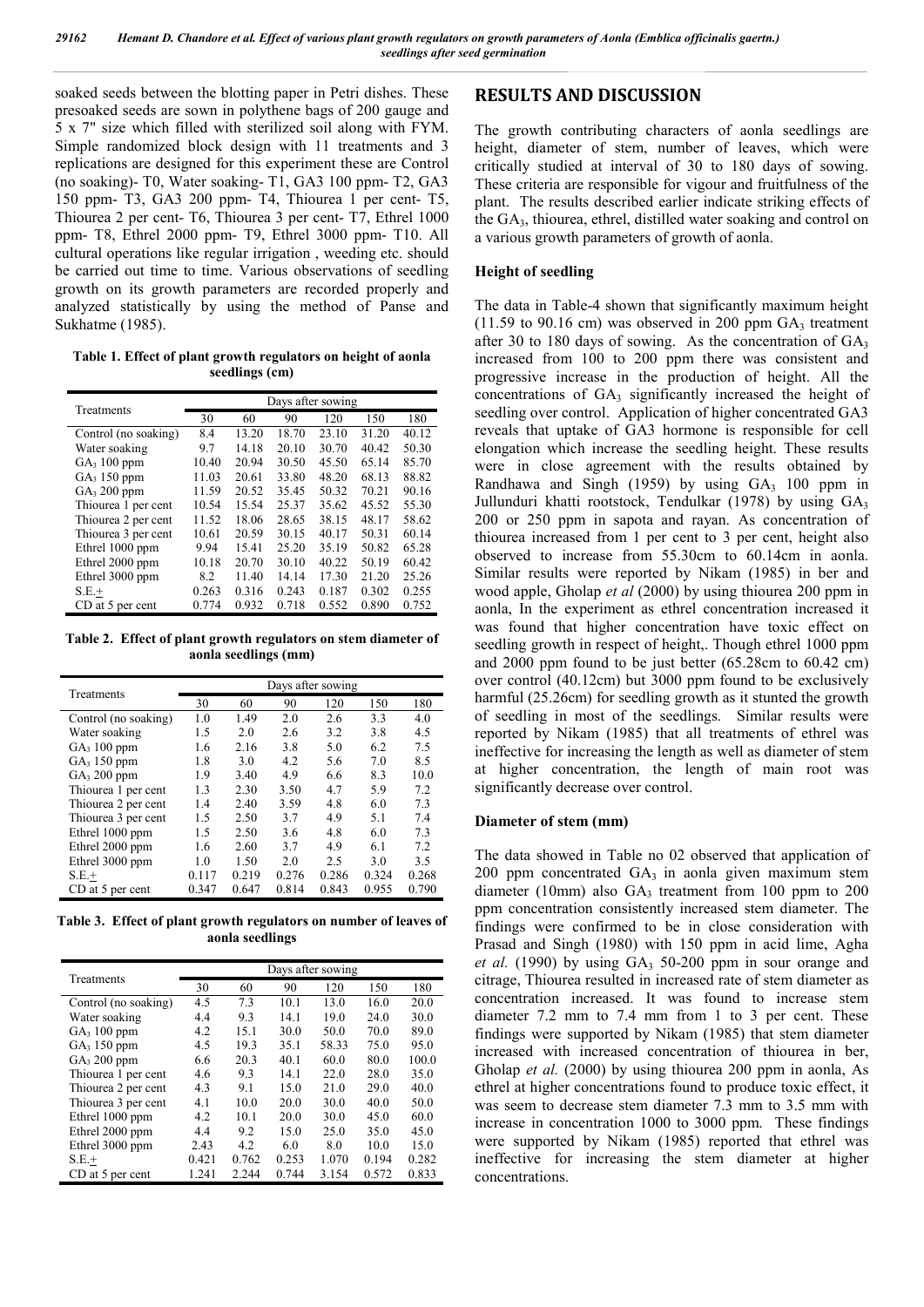soaked seeds between the blotting paper in Petri dishes. These presoaked seeds are sown in polythene bags of 200 gauge and 5 x 7" size which filled with sterilized soil along with FYM. Simple randomized block design with 11 treatments and 3 replications are designed for this experiment these are Control (no soaking)- T0, Water soaking- T1, GA3 100 ppm- T2, GA3 150 ppm- T3, GA3 200 ppm- T4, Thiourea 1 per cent- T5, Thiourea 2 per cent- T6, Thiourea 3 per cent- T7, Ethrel 1000 ppm- T8, Ethrel 2000 ppm- T9, Ethrel 3000 ppm- T10. All cultural operations like regular irrigation , weeding etc. should be carried out time to time. Various observations of seedling growth on its growth parameters are recorded properly and analyzed statistically by using the method of Panse and Sukhatme (1985).

**Table 1. Effect of plant growth regulators on height of aonla seedlings (cm)**

| Treatments              | Days after sowing |       |       |       |       |       |
|-------------------------|-------------------|-------|-------|-------|-------|-------|
|                         | 30                | 60    | 90    | 120   | 150   | 180   |
| Control (no soaking)    | 8.4               | 13.20 | 18.70 | 23.10 | 31.20 | 40.12 |
| Water soaking           | 9.7               | 14.18 | 20.10 | 30.70 | 40.42 | 50.30 |
| $GA_3 100 ppm$          | 10.40             | 20.94 | 30.50 | 45.50 | 65.14 | 85.70 |
| $GA_3$ 150 ppm          | 11.03             | 20.61 | 33.80 | 48.20 | 68.13 | 88.82 |
| GA <sub>3</sub> 200 ppm | 11.59             | 20.52 | 35.45 | 50.32 | 70.21 | 90.16 |
| Thiourea 1 per cent     | 10.54             | 15.54 | 25.37 | 35.62 | 45.52 | 55.30 |
| Thiourea 2 per cent     | 11.52             | 18.06 | 28.65 | 38.15 | 48.17 | 58.62 |
| Thiourea 3 per cent     | 10.61             | 20.59 | 30.15 | 40.17 | 50.31 | 60.14 |
| Ethrel 1000 ppm         | 9.94              | 15.41 | 25.20 | 35.19 | 50.82 | 65.28 |
| Ethrel 2000 ppm         | 10.18             | 20.70 | 30.10 | 40.22 | 50.19 | 60.42 |
| Ethrel 3000 ppm         | 8.2               | 11.40 | 14.14 | 17.30 | 21.20 | 25.26 |
| $S.E.+$                 | 0.263             | 0.316 | 0.243 | 0.187 | 0.302 | 0.255 |
| CD at 5 per cent        | 0.774             | 0.932 | 0.718 | 0.552 | 0.890 | 0.752 |

**Table 2. Effect of plant growth regulators on stem diameter of aonla seedlings (mm)**

| Treatments           | Days after sowing |       |       |       |       |       |
|----------------------|-------------------|-------|-------|-------|-------|-------|
|                      | 30                | 60    | 90    | 120   | 150   | 180   |
| Control (no soaking) | 1.0               | 1.49  | 2.0   | 2.6   | 3.3   | 4.0   |
| Water soaking        | 1.5               | 2.0   | 2.6   | 3.2   | 3.8   | 4.5   |
| $GA_3$ 100 ppm       | 1.6               | 2.16  | 3.8   | 5.0   | 6.2   | 7.5   |
| $GA_3$ 150 ppm       | 1.8               | 3.0   | 4.2   | 5.6   | 7.0   | 8.5   |
| $GA_3 200$ ppm       | 1.9               | 3.40  | 4.9   | 6.6   | 8.3   | 10.0  |
| Thiourea 1 per cent  | 1.3               | 2.30  | 3.50  | 4.7   | 5.9   | 7.2   |
| Thiourea 2 per cent  | 1.4               | 2.40  | 3.59  | 4.8   | 6.0   | 7.3   |
| Thiourea 3 per cent  | 1.5               | 2.50  | 3.7   | 4.9   | 5.1   | 7.4   |
| Ethrel 1000 ppm      | 1.5               | 2.50  | 3.6   | 4.8   | 6.0   | 7.3   |
| Ethrel 2000 ppm      | 1.6               | 2.60  | 3.7   | 4.9   | 6.1   | 7.2   |
| Ethrel 3000 ppm      | 1.0               | 1.50  | 2.0   | 2.5   | 3.0   | 3.5   |
| $S.E.+$              | 0.117             | 0.219 | 0.276 | 0.286 | 0.324 | 0.268 |
| CD at 5 per cent     | 0.347             | 0.647 | 0.814 | 0.843 | 0.955 | 0.790 |

**Table 3. Effect of plant growth regulators on number of leaves of aonla seedlings**

| Treatments              | Days after sowing |       |       |       |       |       |
|-------------------------|-------------------|-------|-------|-------|-------|-------|
|                         | 30                | 60    | 90    | 120   | 150   | 180   |
| Control (no soaking)    | 4.5               | 7.3   | 10.1  | 13.0  | 16.0  | 20.0  |
| Water soaking           | 4.4               | 9.3   | 14.1  | 19.0  | 24.0  | 30.0  |
| GA <sub>3</sub> 100 ppm | 4.2               | 15.1  | 30.0  | 50.0  | 70.0  | 89.0  |
| $GA_3$ 150 ppm          | 4.5               | 19.3  | 35.1  | 58.33 | 75.0  | 95.0  |
| $GA_3 200$ ppm          | 6.6               | 20.3  | 40.1  | 60.0  | 80.0  | 100.0 |
| Thiourea 1 per cent     | 4.6               | 9.3   | 14.1  | 22.0  | 28.0  | 35.0  |
| Thiourea 2 per cent     | 4.3               | 9.1   | 15.0  | 21.0  | 29.0  | 40.0  |
| Thiourea 3 per cent     | 4.1               | 10.0  | 20.0  | 30.0  | 40.0  | 50.0  |
| Ethrel 1000 ppm         | 4.2               | 10.1  | 20.0  | 30.0  | 45.0  | 60.0  |
| Ethrel 2000 ppm         | 4.4               | 9.2   | 15.0  | 25.0  | 35.0  | 45.0  |
| Ethrel 3000 ppm         | 2.43              | 4.2   | 6.0   | 8.0   | 10.0  | 15.0  |
| $S.E.+$                 | 0.421             | 0.762 | 0.253 | 1.070 | 0.194 | 0.282 |
| CD at 5 per cent        | 1.241             | 2.244 | 0.744 | 3.154 | 0.572 | 0.833 |

## **RESULTS AND DISCUSSION**

The growth contributing characters of aonla seedlings are height, diameter of stem, number of leaves, which were critically studied at interval of 30 to 180 days of sowing. These criteria are responsible for vigour and fruitfulness of the plant. The results described earlier indicate striking effects of the GA3, thiourea, ethrel, distilled water soaking and control on a various growth parameters of growth of aonla.

## **Height of seedling**

The data in Table-4 shown that significantly maximum height  $(11.59 \text{ to } 90.16 \text{ cm})$  was observed in 200 ppm  $GA_3$  treatment after 30 to 180 days of sowing. As the concentration of  $GA_3$ increased from 100 to 200 ppm there was consistent and progressive increase in the production of height. All the concentrations of GA3 significantly increased the height of seedling over control. Application of higher concentrated GA3 reveals that uptake of GA3 hormone is responsible for cell elongation which increase the seedling height. These results were in close agreement with the results obtained by Randhawa and Singh (1959) by using  $GA<sub>3</sub>$  100 ppm in Jullunduri khatti rootstock, Tendulkar (1978) by using  $GA_3$ 200 or 250 ppm in sapota and rayan. As concentration of thiourea increased from 1 per cent to 3 per cent, height also observed to increase from 55.30cm to 60.14cm in aonla. Similar results were reported by Nikam (1985) in ber and wood apple, Gholap *et al* (2000) by using thiourea 200 ppm in aonla, In the experiment as ethrel concentration increased it was found that higher concentration have toxic effect on seedling growth in respect of height. Though ethrel 1000 ppm and 2000 ppm found to be just better (65.28cm to 60.42 cm) over control (40.12cm) but 3000 ppm found to be exclusively harmful (25.26cm) for seedling growth as it stunted the growth of seedling in most of the seedlings. Similar results were reported by Nikam (1985) that all treatments of ethrel was ineffective for increasing the length as well as diameter of stem at higher concentration, the length of main root was significantly decrease over control.

#### **Diameter of stem (mm)**

The data showed in Table no 02 observed that application of  $200$  ppm concentrated  $GA_3$  in aonla given maximum stem diameter (10mm) also  $GA_3$  treatment from 100 ppm to 200 ppm concentration consistently increased stem diameter. The findings were confirmed to be in close consideration with Prasad and Singh (1980) with 150 ppm in acid lime, Agha *et al.*  $(1990)$  by using  $GA_3$  50-200 ppm in sour orange and citrage, Thiourea resulted in increased rate of stem diameter as concentration increased. It was found to increase stem diameter 7.2 mm to 7.4 mm from 1 to 3 per cent. These findings were supported by Nikam (1985) that stem diameter increased with increased concentration of thiourea in ber, Gholap *et al.* (2000) by using thiourea 200 ppm in aonla, As ethrel at higher concentrations found to produce toxic effect, it was seem to decrease stem diameter 7.3 mm to 3.5 mm with increase in concentration 1000 to 3000 ppm. These findings were supported by Nikam (1985) reported that ethrel was ineffective for increasing the stem diameter at higher concentrations.